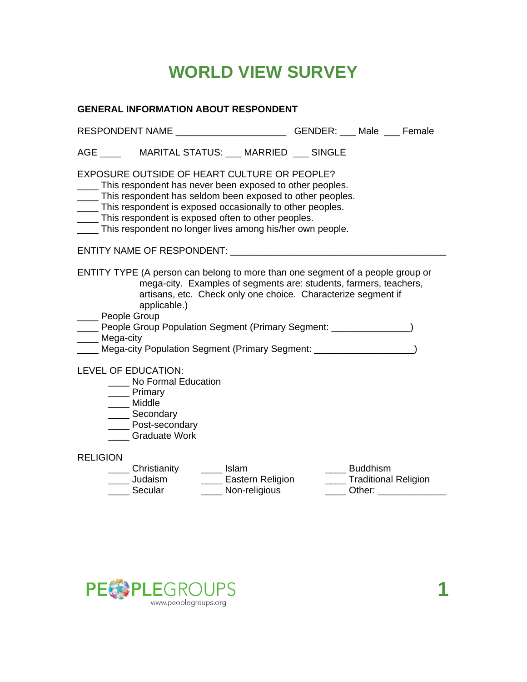# **WORLD VIEW SURVEY**

### **GENERAL INFORMATION ABOUT RESPONDENT**

| RESPONDENT NAME ____________________________GENDER: ____ Male ____ Female                                                                                                                                                                                                                                                                                                                                                                                                                                                                                                      |                                                           |                                             |  |                                                                        |  |
|--------------------------------------------------------------------------------------------------------------------------------------------------------------------------------------------------------------------------------------------------------------------------------------------------------------------------------------------------------------------------------------------------------------------------------------------------------------------------------------------------------------------------------------------------------------------------------|-----------------------------------------------------------|---------------------------------------------|--|------------------------------------------------------------------------|--|
|                                                                                                                                                                                                                                                                                                                                                                                                                                                                                                                                                                                | AGE ___________ MARITAL STATUS: ____ MARRIED ____ SINGLE  |                                             |  |                                                                        |  |
| <b>EXPOSURE OUTSIDE OF HEART CULTURE OR PEOPLE?</b><br>____ This respondent has never been exposed to other peoples.<br>____ This respondent has seldom been exposed to other peoples.<br>____ This respondent is exposed occasionally to other peoples.<br>____ This respondent is exposed often to other peoples.<br>___ This respondent no longer lives among his/her own people.                                                                                                                                                                                           |                                                           |                                             |  |                                                                        |  |
|                                                                                                                                                                                                                                                                                                                                                                                                                                                                                                                                                                                |                                                           |                                             |  |                                                                        |  |
| ENTITY TYPE (A person can belong to more than one segment of a people group or<br>mega-city. Examples of segments are: students, farmers, teachers,<br>artisans, etc. Check only one choice. Characterize segment if<br>applicable.)<br>___ People Group<br>___ People Group Population Segment (Primary Segment: _______________)<br>____ Mega-city<br>Mega-city Population Segment (Primary Segment: _____________________)<br>LEVEL OF EDUCATION:<br>No Formal Education<br>____ Primary<br>____ Middle<br>_____ Secondary<br><b>Nost-secondary</b><br><b>Graduate Work</b> |                                                           |                                             |  |                                                                        |  |
| <b>RELIGION</b>                                                                                                                                                                                                                                                                                                                                                                                                                                                                                                                                                                |                                                           |                                             |  |                                                                        |  |
|                                                                                                                                                                                                                                                                                                                                                                                                                                                                                                                                                                                | Christianity ______ Islam<br>____ Judaism<br>____ Secular | ____ Eastern Religion<br>____ Non-religious |  | ____ Buddhism<br>____ Traditional Religion<br>____ Other: ____________ |  |
|                                                                                                                                                                                                                                                                                                                                                                                                                                                                                                                                                                                |                                                           |                                             |  |                                                                        |  |

**1**

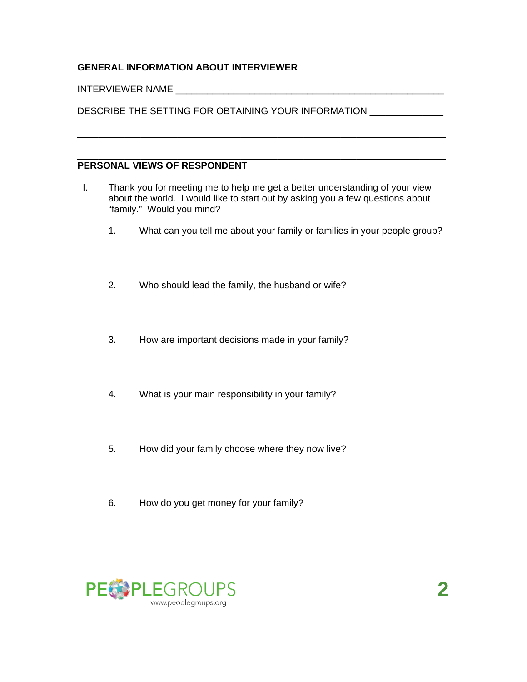## **GENERAL INFORMATION ABOUT INTERVIEWER**

#### INTERVIEWER NAME

DESCRIBE THE SETTING FOR OBTAINING YOUR INFORMATION \_\_\_\_\_\_\_\_\_\_\_\_\_

#### **PERSONAL VIEWS OF RESPONDENT**

 I. Thank you for meeting me to help me get a better understanding of your view about the world. I would like to start out by asking you a few questions about "family." Would you mind?

\_\_\_\_\_\_\_\_\_\_\_\_\_\_\_\_\_\_\_\_\_\_\_\_\_\_\_\_\_\_\_\_\_\_\_\_\_\_\_\_\_\_\_\_\_\_\_\_\_\_\_\_\_\_\_\_\_\_\_\_\_\_\_\_\_\_\_\_\_\_

\_\_\_\_\_\_\_\_\_\_\_\_\_\_\_\_\_\_\_\_\_\_\_\_\_\_\_\_\_\_\_\_\_\_\_\_\_\_\_\_\_\_\_\_\_\_\_\_\_\_\_\_\_\_\_\_\_\_\_\_\_\_\_\_\_\_\_\_\_\_

- 1. What can you tell me about your family or families in your people group?
- 2. Who should lead the family, the husband or wife?
- 3. How are important decisions made in your family?
- 4. What is your main responsibility in your family?
- 5. How did your family choose where they now live?
- 6. How do you get money for your family?

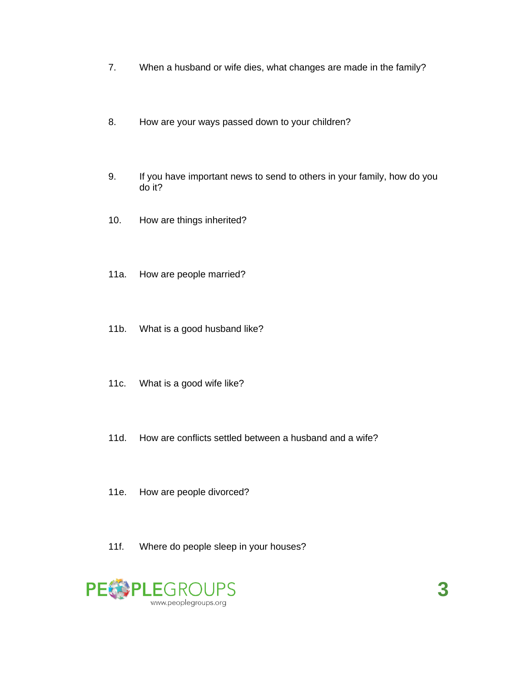- 7. When a husband or wife dies, what changes are made in the family?
- 8. How are your ways passed down to your children?
- 9. If you have important news to send to others in your family, how do you do it?
- 10. How are things inherited?
- 11a. How are people married?
- 11b. What is a good husband like?
- 11c. What is a good wife like?
- 11d. How are conflicts settled between a husband and a wife?
- 11e. How are people divorced?
- 11f. Where do people sleep in your houses?

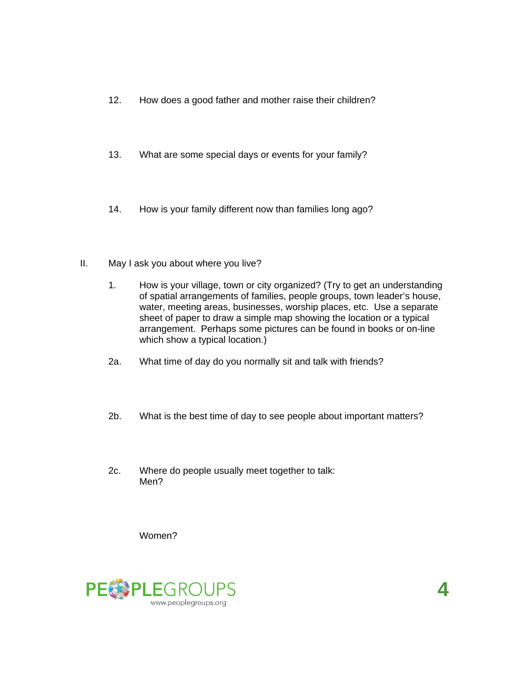- 12. How does a good father and mother raise their children?
- 13. What are some special days or events for your family?
- 14. How is your family different now than families long ago?
- II. May I ask you about where you live?
	- 1. How is your village, town or city organized? (Try to get an understanding of spatial arrangements of families, people groups, town leader's house, water, meeting areas, businesses, worship places, etc. Use a separate sheet of paper to draw a simple map showing the location or a typical arrangement. Perhaps some pictures can be found in books or on-line which show a typical location.)
	- 2a. What time of day do you normally sit and talk with friends?
	- 2b. What is the best time of day to see people about important matters?
	- 2c. Where do people usually meet together to talk: Men?

Women?



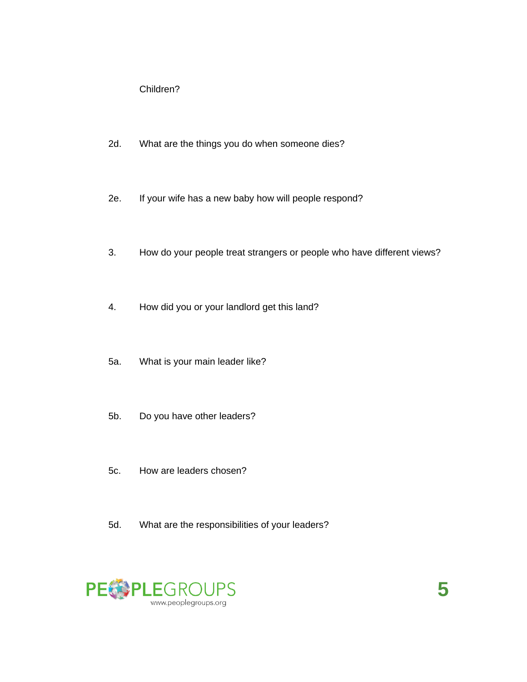Children?

- 2d. What are the things you do when someone dies?
- 2e. If your wife has a new baby how will people respond?
- 3. How do your people treat strangers or people who have different views?
- 4. How did you or your landlord get this land?
- 5a. What is your main leader like?
- 5b. Do you have other leaders?
- 5c. How are leaders chosen?
- 5d. What are the responsibilities of your leaders?

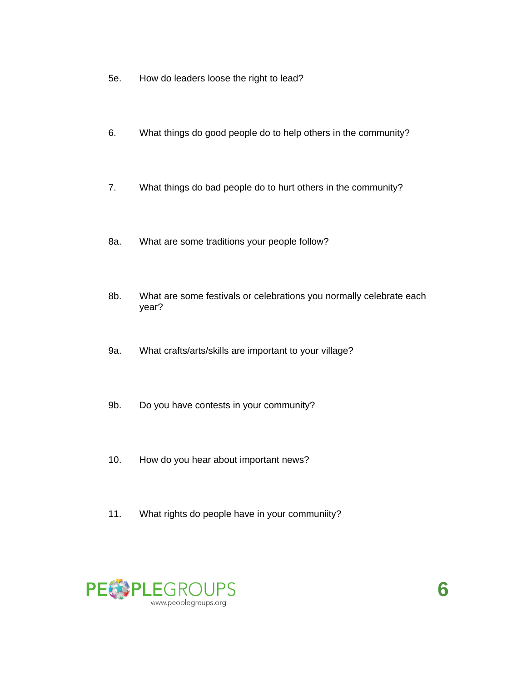- 5e. How do leaders loose the right to lead?
- 6. What things do good people do to help others in the community?
- 7. What things do bad people do to hurt others in the community?
- 8a. What are some traditions your people follow?
- 8b. What are some festivals or celebrations you normally celebrate each year?
- 9a. What crafts/arts/skills are important to your village?
- 9b. Do you have contests in your community?
- 10. How do you hear about important news?
- 11. What rights do people have in your communiity?



**6**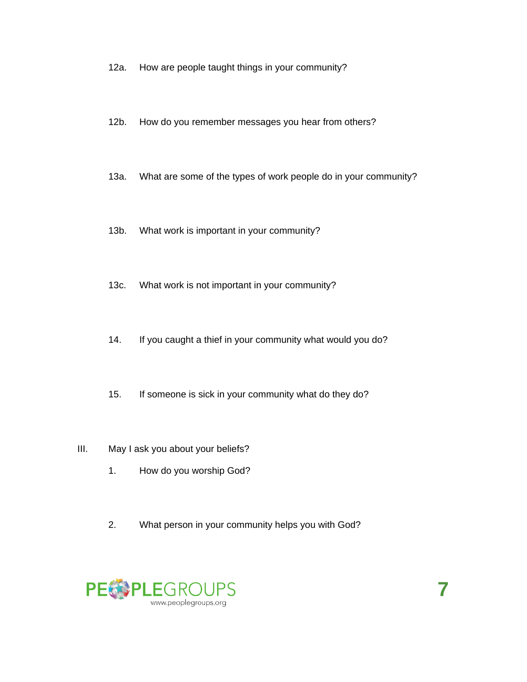- 12a. How are people taught things in your community?
- 12b. How do you remember messages you hear from others?
- 13a. What are some of the types of work people do in your community?
- 13b. What work is important in your community?
- 13c. What work is not important in your community?
- 14. If you caught a thief in your community what would you do?
- 15. If someone is sick in your community what do they do?

#### III. May I ask you about your beliefs?

- 1. How do you worship God?
- 2. What person in your community helps you with God?

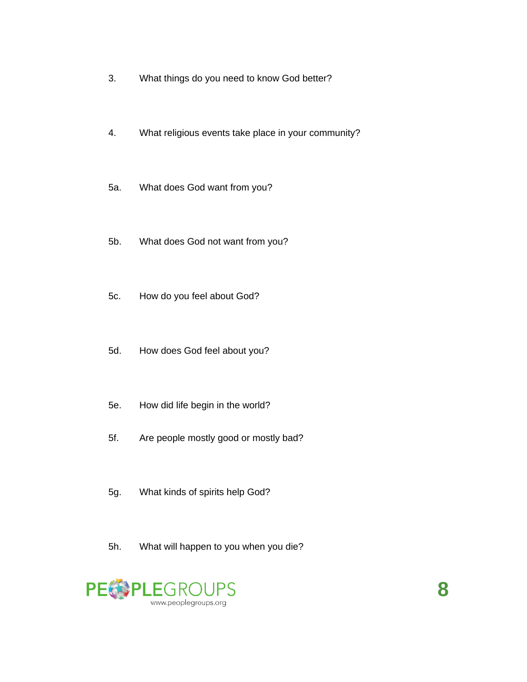- 3. What things do you need to know God better?
- 4. What religious events take place in your community?
- 5a. What does God want from you?
- 5b. What does God not want from you?
- 5c. How do you feel about God?
- 5d. How does God feel about you?
- 5e. How did life begin in the world?
- 5f. Are people mostly good or mostly bad?
- 5g. What kinds of spirits help God?
- 5h. What will happen to you when you die?

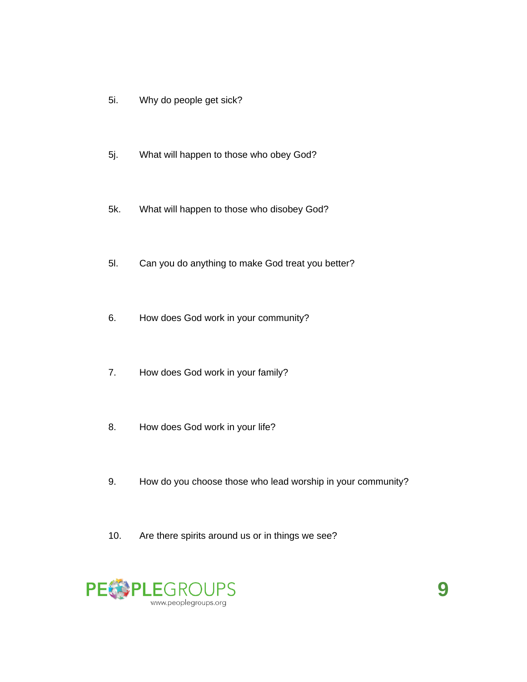- 5i. Why do people get sick?
- 5j. What will happen to those who obey God?
- 5k. What will happen to those who disobey God?
- 5l. Can you do anything to make God treat you better?
- 6. How does God work in your community?
- 7. How does God work in your family?
- 8. How does God work in your life?
- 9. How do you choose those who lead worship in your community?
- 10. Are there spirits around us or in things we see?

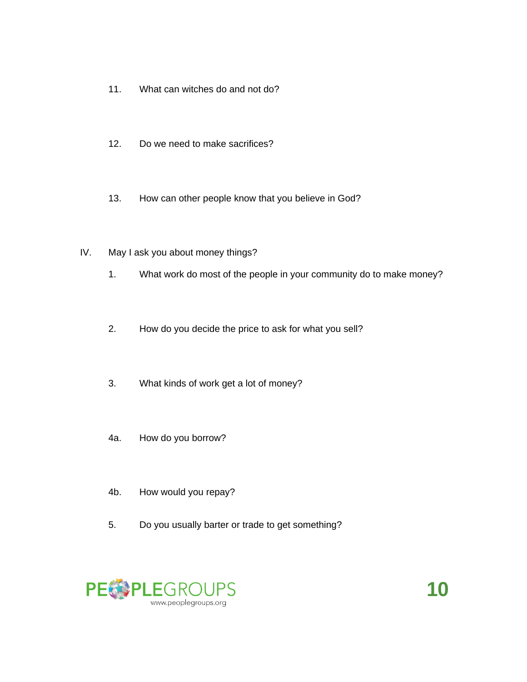- 11. What can witches do and not do?
- 12. Do we need to make sacrifices?
- 13. How can other people know that you believe in God?
- IV. May I ask you about money things?
	- 1. What work do most of the people in your community do to make money?
	- 2. How do you decide the price to ask for what you sell?
	- 3. What kinds of work get a lot of money?
	- 4a. How do you borrow?
	- 4b. How would you repay?
	- 5. Do you usually barter or trade to get something?

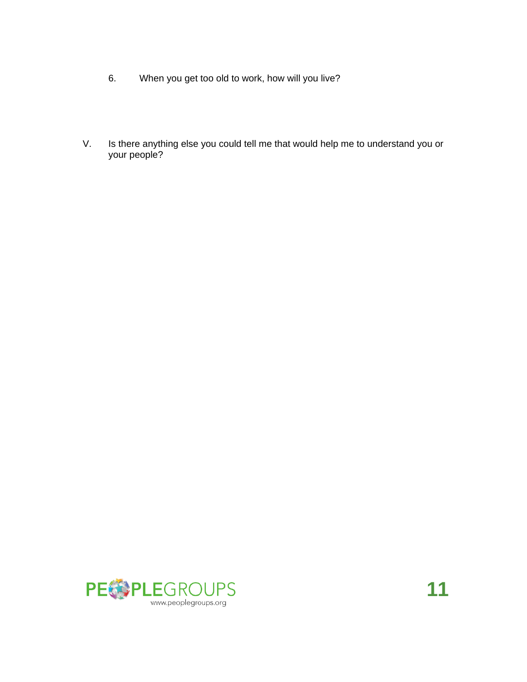- 6. When you get too old to work, how will you live?
- V. Is there anything else you could tell me that would help me to understand you or your people?